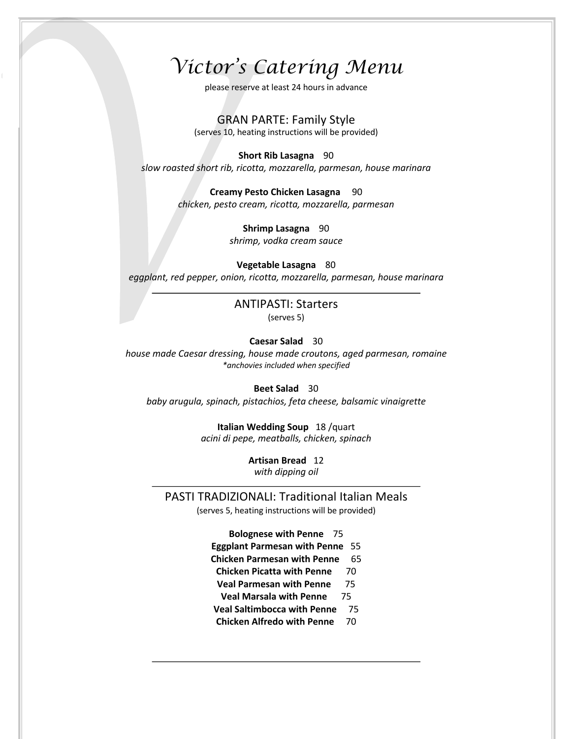# *Victor's Catering Menu*

please reserve at least 24 hours in advance

GRAN PARTE: Family Style

(serves 10, heating instructions will be provided)

**Short Rib Lasagna** 90

*slow roasted short rib, ricotta, mozzarella, parmesan, house marinara*

**Creamy Pesto Chicken Lasagna** 90 *chicken, pesto cream, ricotta, mozzarella, parmesan*

**Shrimp Lasagna** 90

*shrimp, vodka cream sauce*

**Vegetable Lasagna** 80

*eggplant, red pepper, onion, ricotta, mozzarella, parmesan, house marinara*

ANTIPASTI: Starters (serves 5)

#### **Caesar Salad** 30

*house made Caesar dressing, house made croutons, aged parmesan, romaine \*anchovies included when specified*

**Beet Salad** 30

*baby arugula, spinach, pistachios, feta cheese, balsamic vinaigrette*

**Italian Wedding Soup** 18 /quart *acini di pepe, meatballs, chicken, spinach*

> **Artisan Bread** 12 *with dipping oil*

PASTI TRADIZIONALI: Traditional Italian Meals

(serves 5, heating instructions will be provided)

**Bolognese with Penne** 75 **Eggplant Parmesan with Penne** 55 **Chicken Parmesan with Penne** 65 **Chicken Picatta with Penne** 70 **Veal Parmesan with Penne** 75 **Veal Marsala with Penne** 75 **Veal Saltimbocca with Penne** 75 **Chicken Alfredo with Penne** 70